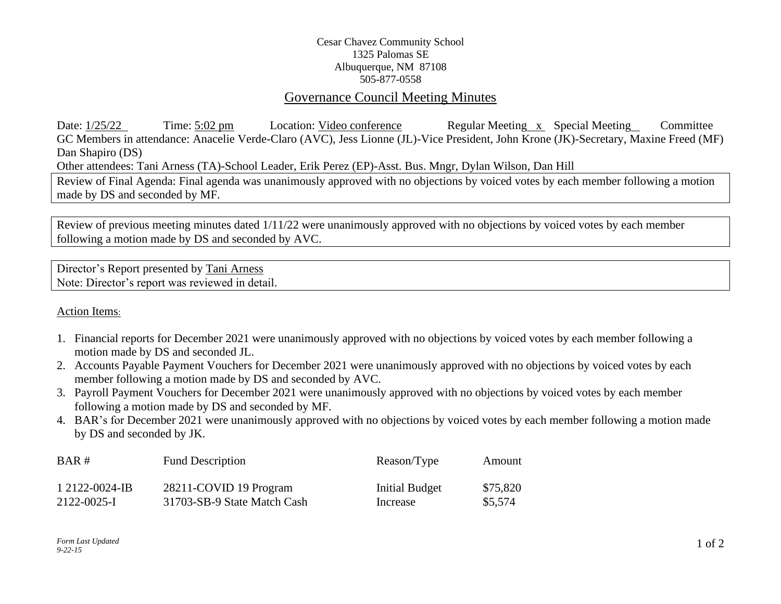## Cesar Chavez Community School 1325 Palomas SE Albuquerque, NM 87108 505-877-0558

## Governance Council Meeting Minutes

Date: 1/25/22 Time: 5:02 pm Location: Video conference Regular Meeting x Special Meeting Committee GC Members in attendance: Anacelie Verde-Claro (AVC), Jess Lionne (JL)-Vice President, John Krone (JK)-Secretary, Maxine Freed (MF) Dan Shapiro (DS) Other attendees: Tani Arness (TA)-School Leader, Erik Perez (EP)-Asst. Bus. Mngr, Dylan Wilson, Dan Hill

Review of Final Agenda: Final agenda was unanimously approved with no objections by voiced votes by each member following a motion made by DS and seconded by MF.

Review of previous meeting minutes dated 1/11/22 were unanimously approved with no objections by voiced votes by each member following a motion made by DS and seconded by AVC.

Director's Report presented by Tani Arness Note: Director's report was reviewed in detail.

## Action Items:

- 1. Financial reports for December 2021 were unanimously approved with no objections by voiced votes by each member following a motion made by DS and seconded JL.
- 2. Accounts Payable Payment Vouchers for December 2021 were unanimously approved with no objections by voiced votes by each member following a motion made by DS and seconded by AVC.
- 3. Payroll Payment Vouchers for December 2021 were unanimously approved with no objections by voiced votes by each member following a motion made by DS and seconded by MF.
- 4. BAR's for December 2021 were unanimously approved with no objections by voiced votes by each member following a motion made by DS and seconded by JK.

| BAR#           | <b>Fund Description</b>     | Reason/Type    | Amount   |
|----------------|-----------------------------|----------------|----------|
| 1 2122-0024-IB | 28211-COVID 19 Program      | Initial Budget | \$75,820 |
| 2122-0025-I    | 31703-SB-9 State Match Cash | Increase       | \$5.574  |